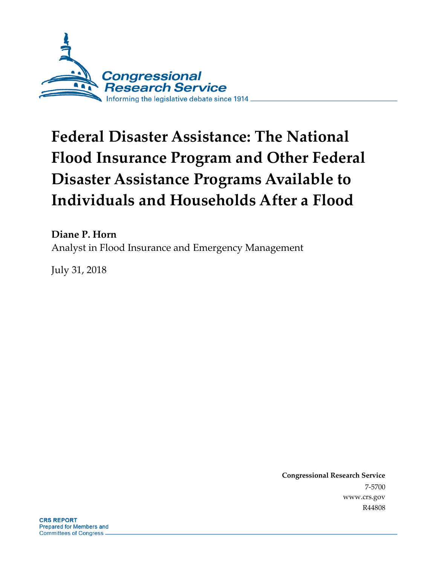

# **Federal Disaster Assistance: The National Flood Insurance Program and Other Federal Disaster Assistance Programs Available to Individuals and Households After a Flood**

**Diane P. Horn** Analyst in Flood Insurance and Emergency Management

July 31, 2018

**Congressional Research Service** 7-5700 www.crs.gov R44808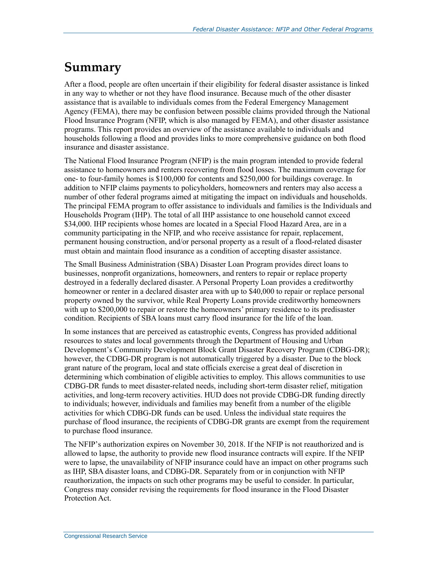## **Summary**

After a flood, people are often uncertain if their eligibility for federal disaster assistance is linked in any way to whether or not they have flood insurance. Because much of the other disaster assistance that is available to individuals comes from the Federal Emergency Management Agency (FEMA), there may be confusion between possible claims provided through the National Flood Insurance Program (NFIP, which is also managed by FEMA), and other disaster assistance programs. This report provides an overview of the assistance available to individuals and households following a flood and provides links to more comprehensive guidance on both flood insurance and disaster assistance.

The National Flood Insurance Program (NFIP) is the main program intended to provide federal assistance to homeowners and renters recovering from flood losses. The maximum coverage for one- to four-family homes is \$100,000 for contents and \$250,000 for buildings coverage. In addition to NFIP claims payments to policyholders, homeowners and renters may also access a number of other federal programs aimed at mitigating the impact on individuals and households. The principal FEMA program to offer assistance to individuals and families is the Individuals and Households Program (IHP). The total of all IHP assistance to one household cannot exceed \$34,000. IHP recipients whose homes are located in a Special Flood Hazard Area, are in a community participating in the NFIP, and who receive assistance for repair, replacement, permanent housing construction, and/or personal property as a result of a flood-related disaster must obtain and maintain flood insurance as a condition of accepting disaster assistance.

The Small Business Administration (SBA) Disaster Loan Program provides direct loans to businesses, nonprofit organizations, homeowners, and renters to repair or replace property destroyed in a federally declared disaster. A Personal Property Loan provides a creditworthy homeowner or renter in a declared disaster area with up to \$40,000 to repair or replace personal property owned by the survivor, while Real Property Loans provide creditworthy homeowners with up to \$200,000 to repair or restore the homeowners' primary residence to its predisaster condition. Recipients of SBA loans must carry flood insurance for the life of the loan.

In some instances that are perceived as catastrophic events, Congress has provided additional resources to states and local governments through the Department of Housing and Urban Development's Community Development Block Grant Disaster Recovery Program (CDBG-DR); however, the CDBG-DR program is not automatically triggered by a disaster. Due to the block grant nature of the program, local and state officials exercise a great deal of discretion in determining which combination of eligible activities to employ. This allows communities to use CDBG-DR funds to meet disaster-related needs, including short-term disaster relief, mitigation activities, and long-term recovery activities. HUD does not provide CDBG-DR funding directly to individuals; however, individuals and families may benefit from a number of the eligible activities for which CDBG-DR funds can be used. Unless the individual state requires the purchase of flood insurance, the recipients of CDBG-DR grants are exempt from the requirement to purchase flood insurance.

The NFIP's authorization expires on November 30, 2018. If the NFIP is not reauthorized and is allowed to lapse, the authority to provide new flood insurance contracts will expire. If the NFIP were to lapse, the unavailability of NFIP insurance could have an impact on other programs such as IHP, SBA disaster loans, and CDBG-DR. Separately from or in conjunction with NFIP reauthorization, the impacts on such other programs may be useful to consider. In particular, Congress may consider revising the requirements for flood insurance in the Flood Disaster Protection Act.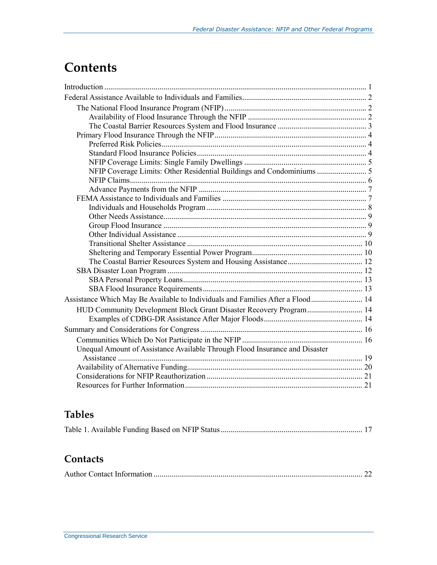## **Contents**

| NFIP Coverage Limits: Other Residential Buildings and Condominiums  5          |  |
|--------------------------------------------------------------------------------|--|
|                                                                                |  |
|                                                                                |  |
|                                                                                |  |
|                                                                                |  |
|                                                                                |  |
|                                                                                |  |
|                                                                                |  |
|                                                                                |  |
|                                                                                |  |
|                                                                                |  |
|                                                                                |  |
|                                                                                |  |
|                                                                                |  |
| Assistance Which May Be Available to Individuals and Families After a Flood 14 |  |
| HUD Community Development Block Grant Disaster Recovery Program 14             |  |
|                                                                                |  |
|                                                                                |  |
|                                                                                |  |
| Unequal Amount of Assistance Available Through Flood Insurance and Disaster    |  |
|                                                                                |  |
|                                                                                |  |
|                                                                                |  |
|                                                                                |  |

## **Tables**

|--|--|

### **Contacts**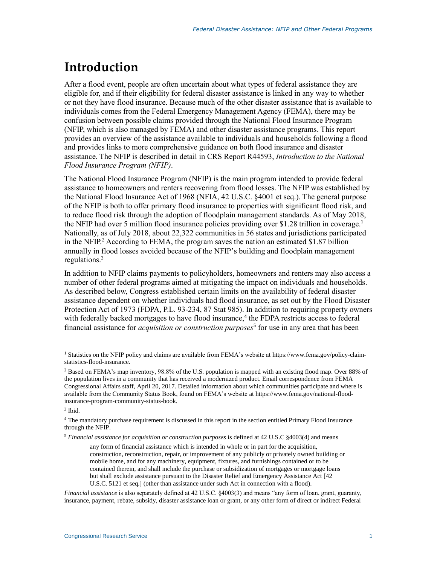## **Introduction**

After a flood event, people are often uncertain about what types of federal assistance they are eligible for, and if their eligibility for federal disaster assistance is linked in any way to whether or not they have flood insurance. Because much of the other disaster assistance that is available to individuals comes from the Federal Emergency Management Agency (FEMA), there may be confusion between possible claims provided through the National Flood Insurance Program (NFIP, which is also managed by FEMA) and other disaster assistance programs. This report provides an overview of the assistance available to individuals and households following a flood and provides links to more comprehensive guidance on both flood insurance and disaster assistance. The NFIP is described in detail in CRS Report R44593, *[Introduction to the National](http://www.crs.gov/Reports/R44593)  [Flood Insurance Program \(NFIP\)](http://www.crs.gov/Reports/R44593)*.

The National Flood Insurance Program (NFIP) is the main program intended to provide federal assistance to homeowners and renters recovering from flood losses. The NFIP was established by the National Flood Insurance Act of 1968 (NFIA, 42 U.S.C. §4001 et seq.). The general purpose of the NFIP is both to offer primary flood insurance to properties with significant flood risk, and to reduce flood risk through the adoption of floodplain management standards. As of May 2018, the NFIP had over 5 million flood insurance policies providing over \$1.28 trillion in coverage.<sup>1</sup> Nationally, as of July 2018, about 22,322 communities in 56 states and jurisdictions participated in the NFIP.<sup>2</sup> According to FEMA, the program saves the nation an estimated \$1.87 billion annually in flood losses avoided because of the NFIP's building and floodplain management regulations.<sup>3</sup>

In addition to NFIP claims payments to policyholders, homeowners and renters may also access a number of other federal programs aimed at mitigating the impact on individuals and households. As described below, Congress established certain limits on the availability of federal disaster assistance dependent on whether individuals had flood insurance, as set out by the Flood Disaster Protection Act of 1973 (FDPA, [P.L. 93-234,](http://www.congress.gov/cgi-lis/bdquery/R?d093:FLD002:@1(93+234)) 87 Stat 985). In addition to requiring property owners with federally backed mortgages to have flood insurance, $4$  the FDPA restricts access to federal financial assistance for *acquisition or construction purposes*<sup>5</sup> for use in any area that has been

 $\overline{a}$ 

<sup>5</sup> *Financial assistance for acquisition or construction purposes* is defined at 42 U.S.C §4003(4) and means

<sup>&</sup>lt;sup>1</sup> Statistics on the NFIP policy and claims are available from FEMA's website at https://www.fema.gov/policy-claimstatistics-flood-insurance.

<sup>&</sup>lt;sup>2</sup> Based on FEMA's map inventory, 98.8% of the U.S. population is mapped with an existing flood map. Over 88% of the population lives in a community that has received a modernized product. Email correspondence from FEMA Congressional Affairs staff, April 20, 2017. Detailed information about which communities participate and where is available from the Community Status Book, found on FEMA's website at https://www.fema.gov/national-floodinsurance-program-community-status-book.

<sup>3</sup> Ibid.

<sup>4</sup> The mandatory purchase requirement is discussed in this report in the section entitled Primary Flood Insurance through the NFIP.

any form of financial assistance which is intended in whole or in part for the acquisition, construction, reconstruction, repair, or improvement of any publicly or privately owned building or mobile home, and for any machinery, equipment, fixtures, and furnishings contained or to be contained therein, and shall include the purchase or subsidization of mortgages or mortgage loans but shall exclude assistance pursuant to the Disaster Relief and Emergency Assistance Act [42 U.S.C. 5121 et seq.] (other than assistance under such Act in connection with a flood).

*Financial assistance* is also separately defined at 42 U.S.C. §4003(3) and means "any form of loan, grant, guaranty, insurance, payment, rebate, subsidy, disaster assistance loan or grant, or any other form of direct or indirect Federal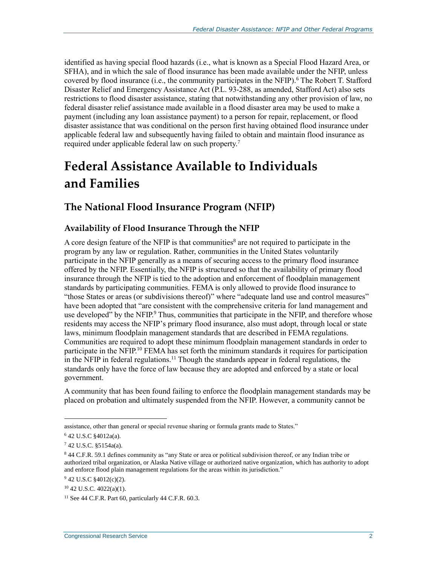identified as having special flood hazards (i.e., what is known as a Special Flood Hazard Area, or SFHA), and in which the sale of flood insurance has been made available under the NFIP, unless covered by flood insurance (i.e., the community participates in the NFIP). <sup>6</sup> The Robert T. Stafford Disaster Relief and Emergency Assistance Act [\(P.L. 93-288,](http://www.congress.gov/cgi-lis/bdquery/R?d093:FLD002:@1(93+288)) as amended, Stafford Act) also sets restrictions to flood disaster assistance, stating that notwithstanding any other provision of law, no federal disaster relief assistance made available in a flood disaster area may be used to make a payment (including any loan assistance payment) to a person for repair, replacement, or flood disaster assistance that was conditional on the person first having obtained flood insurance under applicable federal law and subsequently having failed to obtain and maintain flood insurance as required under applicable federal law on such property.<sup>7</sup>

## **Federal Assistance Available to Individuals and Families**

### **The National Flood Insurance Program (NFIP)**

#### **Availability of Flood Insurance Through the NFIP**

A core design feature of the NFIP is that communities<sup>8</sup> are not required to participate in the program by any law or regulation. Rather, communities in the United States voluntarily participate in the NFIP generally as a means of securing access to the primary flood insurance offered by the NFIP. Essentially, the NFIP is structured so that the availability of primary flood insurance through the NFIP is tied to the adoption and enforcement of floodplain management standards by participating communities. FEMA is only allowed to provide flood insurance to "those States or areas (or subdivisions thereof)" where "adequate land use and control measures" have been adopted that "are consistent with the comprehensive criteria for land management and use developed" by the NFIP.<sup>9</sup> Thus, communities that participate in the NFIP, and therefore whose residents may access the NFIP's primary flood insurance, also must adopt, through local or state laws, minimum floodplain management standards that are described in FEMA regulations. Communities are required to adopt these minimum floodplain management standards in order to participate in the NFIP.<sup>10</sup> FEMA has set forth the minimum standards it requires for participation in the NFIP in federal regulations.<sup>11</sup> Though the standards appear in federal regulations, the standards only have the force of law because they are adopted and enforced by a state or local government.

A community that has been found failing to enforce the floodplain management standards may be placed on probation and ultimately suspended from the NFIP. However, a community cannot be

assistance, other than general or special revenue sharing or formula grants made to States."

<sup>6</sup> 42 U.S.C §4012a(a).

 $742$  U.S.C. §5154a(a).

<sup>8</sup> 44 C.F.R. 59.1 defines community as "any State or area or political subdivision thereof, or any Indian tribe or authorized tribal organization, or Alaska Native village or authorized native organization, which has authority to adopt and enforce flood plain management regulations for the areas within its jurisdiction."

<sup>9</sup> 42 U.S.C §4012(c)(2).

 $10$  42 U.S.C. 4022(a)(1).

 $11$  See 44 C.F.R. Part 60, particularly 44 C.F.R. 60.3.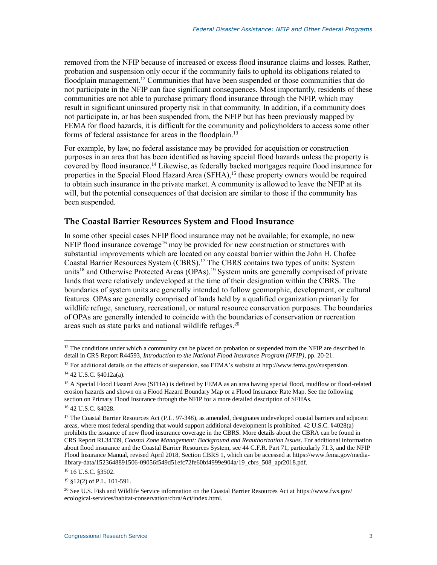removed from the NFIP because of increased or excess flood insurance claims and losses. Rather, probation and suspension only occur if the community fails to uphold its obligations related to floodplain management.<sup>12</sup> Communities that have been suspended or those communities that do not participate in the NFIP can face significant consequences. Most importantly, residents of these communities are not able to purchase primary flood insurance through the NFIP, which may result in significant uninsured property risk in that community. In addition, if a community does not participate in, or has been suspended from, the NFIP but has been previously mapped by FEMA for flood hazards, it is difficult for the community and policyholders to access some other forms of federal assistance for areas in the floodplain.<sup>13</sup>

For example, by law, no federal assistance may be provided for acquisition or construction purposes in an area that has been identified as having special flood hazards unless the property is covered by flood insurance.<sup>14</sup> Likewise, as federally backed mortgages require flood insurance for properties in the Special Flood Hazard Area (SFHA), <sup>15</sup> these property owners would be required to obtain such insurance in the private market. A community is allowed to leave the NFIP at its will, but the potential consequences of that decision are similar to those if the community has been suspended.

#### **The Coastal Barrier Resources System and Flood Insurance**

In some other special cases NFIP flood insurance may not be available; for example, no new NFIP flood insurance coverage<sup>16</sup> may be provided for new construction or structures with substantial improvements which are located on any coastal barrier within the John H. Chafee Coastal Barrier Resources System (CBRS). <sup>17</sup> The CBRS contains two types of units: System units<sup>18</sup> and Otherwise Protected Areas (OPAs).<sup>19</sup> System units are generally comprised of private lands that were relatively undeveloped at the time of their designation within the CBRS. The boundaries of system units are generally intended to follow geomorphic, development, or cultural features. OPAs are generally comprised of lands held by a qualified organization primarily for wildlife refuge, sanctuary, recreational, or natural resource conservation purposes. The boundaries of OPAs are generally intended to coincide with the boundaries of conservation or recreation areas such as state parks and national wildlife refuges.<sup>20</sup>

 $\overline{a}$ 

<sup>18</sup> 16 U.S.C. §3502.

 $12$  The conditions under which a community can be placed on probation or suspended from the NFIP are described in detail in CRS Report R44593, *Introduction to the National Flood Insurance Program (NFIP)*, pp. 20-21.

<sup>&</sup>lt;sup>13</sup> For additional details on the effects of suspension, see FEMA's website at http://www.fema.gov/suspension. <sup>14</sup> 42 U.S.C. §4012a(a).

<sup>&</sup>lt;sup>15</sup> A Special Flood Hazard Area (SFHA) is defined by FEMA as an area having special flood, mudflow or flood-related erosion hazards and shown on a Flood Hazard Boundary Map or a Flood Insurance Rate Map. See the following section on Primary Flood Insurance through the NFIP for a more detailed description of SFHAs.

<sup>16</sup> 42 U.S.C. §4028.

<sup>&</sup>lt;sup>17</sup> The Coastal Barrier Resources Act (P.L. 97-348), as amended, designates undeveloped coastal barriers and adjacent areas, where most federal spending that would support additional development is prohibited. 42 U.S.C. §4028(a) prohibits the issuance of new flood insurance coverage in the CBRS. More details about the CBRA can be found in CRS Report RL34339, *Coastal Zone Management: Background and Reauthorization Issues*. For additional information about flood insurance and the Coastal Barrier Resources System, see 44 C.F.R. Part 71, particularly 71.3, and the NFIP Flood Insurance Manual, revised April 2018, Section CBRS 1, which can be accessed at https://www.fema.gov/medialibrary-data/1523648891506-09056f549d51efc72fe60bf4999e904a/19\_cbrs\_508\_apr2018.pdf.

<sup>19</sup> §12(2) of P.L. 101-591.

<sup>20</sup> See U.S. Fish and Wildlife Service information on the Coastal Barrier Resources Act at https://www.fws.gov/ ecological-services/habitat-conservation/cbra/Act/index.html.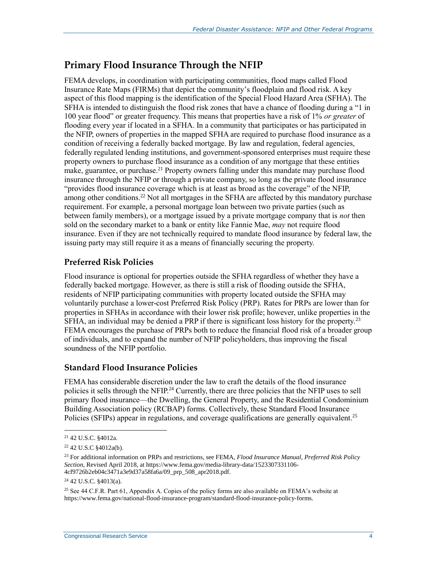### **Primary Flood Insurance Through the NFIP**

FEMA develops, in coordination with participating communities, flood maps called Flood Insurance Rate Maps (FIRMs) that depict the community's floodplain and flood risk. A key aspect of this flood mapping is the identification of the Special Flood Hazard Area (SFHA). The SFHA is intended to distinguish the flood risk zones that have a chance of flooding during a "1 in 100 year flood" or greater frequency. This means that properties have a risk of 1% *or greater* of flooding every year if located in a SFHA. In a community that participates or has participated in the NFIP, owners of properties in the mapped SFHA are required to purchase flood insurance as a condition of receiving a federally backed mortgage. By law and regulation, federal agencies, federally regulated lending institutions, and government-sponsored enterprises must require these property owners to purchase flood insurance as a condition of any mortgage that these entities make, guarantee, or purchase.<sup>21</sup> Property owners falling under this mandate may purchase flood insurance through the NFIP or through a private company, so long as the private flood insurance "provides flood insurance coverage which is at least as broad as the coverage" of the NFIP, among other conditions.<sup>22</sup> Not all mortgages in the SFHA are affected by this mandatory purchase requirement. For example, a personal mortgage loan between two private parties (such as between family members), or a mortgage issued by a private mortgage company that is *not* then sold on the secondary market to a bank or entity like Fannie Mae, *may* not require flood insurance. Even if they are not technically required to mandate flood insurance by federal law, the issuing party may still require it as a means of financially securing the property.

#### **Preferred Risk Policies**

Flood insurance is optional for properties outside the SFHA regardless of whether they have a federally backed mortgage. However, as there is still a risk of flooding outside the SFHA, residents of NFIP participating communities with property located outside the SFHA may voluntarily purchase a lower-cost Preferred Risk Policy (PRP). Rates for PRPs are lower than for properties in SFHAs in accordance with their lower risk profile; however, unlike properties in the SFHA, an individual may be denied a PRP if there is significant loss history for the property.<sup>23</sup> FEMA encourages the purchase of PRPs both to reduce the financial flood risk of a broader group of individuals, and to expand the number of NFIP policyholders, thus improving the fiscal soundness of the NFIP portfolio.

#### **Standard Flood Insurance Policies**

FEMA has considerable discretion under the law to craft the details of the flood insurance policies it sells through the NFIP.<sup>24</sup> Currently, there are three policies that the NFIP uses to sell primary flood insurance—the Dwelling, the General Property, and the Residential Condominium Building Association policy (RCBAP) forms. Collectively, these Standard Flood Insurance Policies (SFIPs) appear in regulations, and coverage qualifications are generally equivalent.<sup>25</sup>

<sup>21</sup> 42 U.S.C. §4012a.

<sup>22</sup> 42 U.S.C §4012a(b).

<sup>23</sup> For additional information on PRPs and restrictions, see FEMA, *Flood Insurance Manual, Preferred Risk Policy Section*, Revised April 2018, at https://www.fema.gov/media-library-data/1523307331106- 4cf9726b2eb04c3471a3e9d37a58fa6a/09\_prp\_508\_apr2018.pdf.

<sup>24</sup> 42 U.S.C. §4013(a).

<sup>&</sup>lt;sup>25</sup> See 44 C.F.R. Part 61, Appendix A. Copies of the policy forms are also available on FEMA's website at https://www.fema.gov/national-flood-insurance-program/standard-flood-insurance-policy-forms.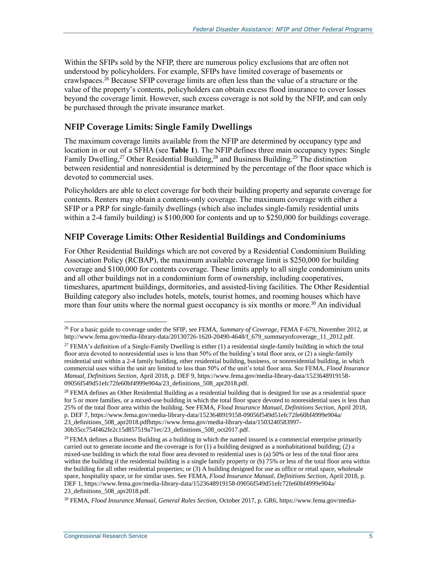Within the SFIPs sold by the NFIP, there are numerous policy exclusions that are often not understood by policyholders. For example, SFIPs have limited coverage of basements or crawlspaces.<sup>26</sup> Because SFIP coverage limits are often less than the value of a structure or the value of the property's contents, policyholders can obtain excess flood insurance to cover losses beyond the coverage limit. However, such excess coverage is not sold by the NFIP, and can only be purchased through the private insurance market.

#### **NFIP Coverage Limits: Single Family Dwellings**

The maximum coverage limits available from the NFIP are determined by occupancy type and location in or out of a SFHA (see **[Table 1](#page-19-0)**). The NFIP defines three main occupancy types: Single Family Dwelling,<sup>27</sup> Other Residential Building,<sup>28</sup> and Business Building.<sup>29</sup> The distinction between residential and nonresidential is determined by the percentage of the floor space which is devoted to commercial uses.

Policyholders are able to elect coverage for both their building property and separate coverage for contents. Renters may obtain a contents-only coverage. The maximum coverage with either a SFIP or a PRP for single-family dwellings (which also includes single-family residential units within a 2-4 family building) is \$100,000 for contents and up to \$250,000 for buildings coverage.

#### **NFIP Coverage Limits: Other Residential Buildings and Condominiums**

For Other Residential Buildings which are not covered by a Residential Condominium Building Association Policy (RCBAP), the maximum available coverage limit is \$250,000 for building coverage and \$100,000 for contents coverage. These limits apply to all single condominium units and all other buildings not in a condominium form of ownership, including cooperatives, timeshares, apartment buildings, dormitories, and assisted-living facilities. The Other Residential Building category also includes hotels, motels, tourist homes, and rooming houses which have more than four units where the normal guest occupancy is six months or more.<sup>30</sup> An individual

<sup>26</sup> For a basic guide to coverage under the SFIP, see FEMA, *Summary of Coverage*, FEMA F-679, November 2012, at http://www.fema.gov/media-library-data/20130726-1620-20490-4648/f\_679\_summaryofcoverage\_11\_2012.pdf.

<sup>&</sup>lt;sup>27</sup> FEMA's definition of a Single-Family Dwelling is either (1) a residential single-family building in which the total floor area devoted to nonresidential uses is less than 50% of the building's total floor area, or (2) a single-family residential unit within a 2-4 family building, other residential building, business, or nonresidential building, in which commercial uses within the unit are limited to less than 50% of the unit's total floor area. See FEMA, *Flood Insurance Manual, Definitions Section*, April 2018, p. DEF 9, https://www.fema.gov/media-library-data/1523648919158- 09056f549d51efc72fe60bf4999e904a/23\_definitions\_508\_apr2018.pdf.

 $28$  FEMA defines an Other Residential Building as a residential building that is designed for use as a residential space for 5 or more families, or a mixed-use building in which the total floor space devoted to nonresidential uses is less than 25% of the total floor area within the building. See FEMA, *Flood Insurance Manual, Definitions Section*, April 2018, p. DEF 7, https://www.fema.gov/media-library-data/1523648919158-09056f549d51efc72fe60bf4999e904a/ 23\_definitions\_508\_apr2018.pdfhttps://www.fema.gov/media-library-data/1503240583997- 30b35cc754f462fe2c15d857519a71ec/23\_definitions\_508\_oct2017.pdf.

 $29$  FEMA defines a Business Building as a building in which the named insured is a commercial enterprise primarily carried out to generate income and the coverage is for (1) a building designed as a nonhabitational building; (2) a mixed-use building in which the total floor area devoted to residential uses is (a) 50% or less of the total floor area within the building if the residential building is a single family property or (b) 75% or less of the total floor area within the building for all other residential properties; or (3) A building designed for use as office or retail space, wholesale space, hospitality space, or for similar uses. See FEMA, *Flood Insurance Manual, Definitions Section*, April 2018, p. DEF 1, https://www.fema.gov/media-library-data/1523648919158-09056f549d51efc72fe60bf4999e904a/ 23\_definitions\_508\_apr2018.pdf.

<sup>30</sup> FEMA, *Flood Insurance Manual, General Rules Section*, October 2017, p. GR6, https://www.fema.gov/media-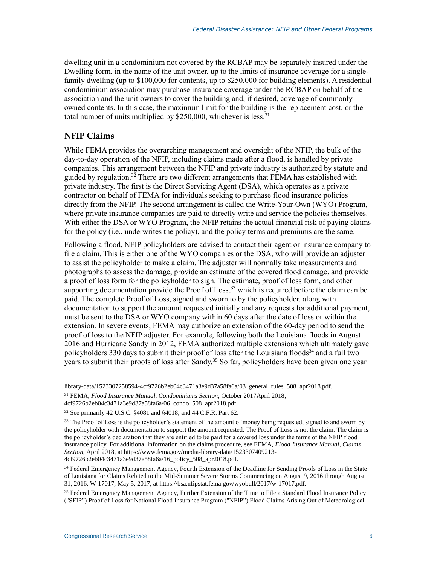dwelling unit in a condominium not covered by the RCBAP may be separately insured under the Dwelling form, in the name of the unit owner, up to the limits of insurance coverage for a singlefamily dwelling (up to \$100,000 for contents, up to \$250,000 for building elements). A residential condominium association may purchase insurance coverage under the RCBAP on behalf of the association and the unit owners to cover the building and, if desired, coverage of commonly owned contents. In this case, the maximum limit for the building is the replacement cost, or the total number of units multiplied by  $$250,000$ , whichever is less.<sup>31</sup>

#### **NFIP Claims**

While FEMA provides the overarching management and oversight of the NFIP, the bulk of the day-to-day operation of the NFIP, including claims made after a flood, is handled by private companies. This arrangement between the NFIP and private industry is authorized by statute and guided by regulation.<sup>32</sup> There are two different arrangements that FEMA has established with private industry. The first is the Direct Servicing Agent (DSA), which operates as a private contractor on behalf of FEMA for individuals seeking to purchase flood insurance policies directly from the NFIP. The second arrangement is called the Write-Your-Own (WYO) Program, where private insurance companies are paid to directly write and service the policies themselves. With either the DSA or WYO Program, the NFIP retains the actual financial risk of paying claims for the policy (i.e., underwrites the policy), and the policy terms and premiums are the same.

Following a flood, NFIP policyholders are advised to contact their agent or insurance company to file a claim. This is either one of the WYO companies or the DSA, who will provide an adjuster to assist the policyholder to make a claim. The adjuster will normally take measurements and photographs to assess the damage, provide an estimate of the covered flood damage, and provide a proof of loss form for the policyholder to sign. The estimate, proof of loss form, and other supporting documentation provide the Proof of  $\text{Loss}$ ,<sup>33</sup> which is required before the claim can be paid. The complete Proof of Loss, signed and sworn to by the policyholder, along with documentation to support the amount requested initially and any requests for additional payment, must be sent to the DSA or WYO company within 60 days after the date of loss or within the extension. In severe events, FEMA may authorize an extension of the 60-day period to send the proof of loss to the NFIP adjuster. For example, following both the Louisiana floods in August 2016 and Hurricane Sandy in 2012, FEMA authorized multiple extensions which ultimately gave policyholders 330 days to submit their proof of loss after the Louisiana floods<sup>34</sup> and a full two years to submit their proofs of loss after Sandy. <sup>35</sup> So far, policyholders have been given one year

 $\overline{a}$ library-data/1523307258594-4cf9726b2eb04c3471a3e9d37a58fa6a/03\_general\_rules\_508\_apr2018.pdf.

<sup>31</sup> FEMA, *Flood Insurance Manual, Condominiums Section*, October 2017April 2018,

<sup>4</sup>cf9726b2eb04c3471a3e9d37a58fa6a/06\_condo\_508\_apr2018.pdf.

<sup>32</sup> See primarily 42 U.S.C. §4081 and §4018, and 44 C.F.R. Part 62.

<sup>&</sup>lt;sup>33</sup> The Proof of Loss is the policyholder's statement of the amount of money being requested, signed to and sworn by the policyholder with documentation to support the amount requested. The Proof of Loss is not the claim. The claim is the policyholder's declaration that they are entitled to be paid for a covered loss under the terms of the NFIP flood insurance policy. For additional information on the claims procedure, see FEMA, *Flood Insurance Manual, Claims Section*, April 2018, at https://www.fema.gov/media-library-data/1523307409213- 4cf9726b2eb04c3471a3e9d37a58fa6a/16\_policy\_508\_apr2018.pdf.

<sup>&</sup>lt;sup>34</sup> Federal Emergency Management Agency, Fourth Extension of the Deadline for Sending Proofs of Loss in the State of Louisiana for Claims Related to the Mid-Summer Severe Storms Commencing on August 9, 2016 through August 31, 2016, W-17017, May 5, 2017, at https://bsa.nfipstat.fema.gov/wyobull/2017/w-17017.pdf.

<sup>&</sup>lt;sup>35</sup> Federal Emergency Management Agency, Further Extension of the Time to File a Standard Flood Insurance Policy ("SFIP") Proof of Loss for National Flood Insurance Program ("NFIP") Flood Claims Arising Out of Meteorological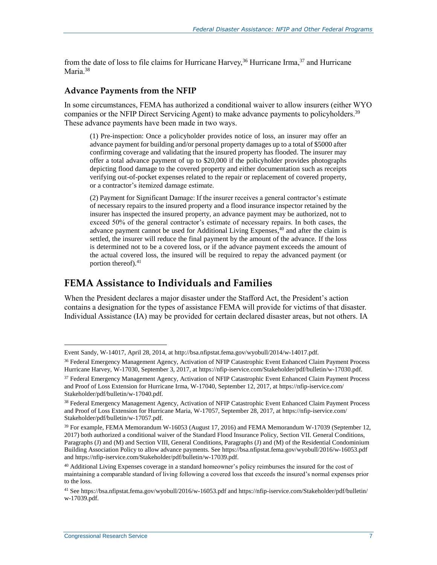from the date of loss to file claims for Hurricane Harvey,  $36$  Hurricane Irma,  $37$  and Hurricane Maria.<sup>38</sup>

#### **Advance Payments from the NFIP**

In some circumstances, FEMA has authorized a conditional waiver to allow insurers (either WYO companies or the NFIP Direct Servicing Agent) to make advance payments to policyholders.<sup>39</sup> These advance payments have been made in two ways.

(1) Pre-inspection: Once a policyholder provides notice of loss, an insurer may offer an advance payment for building and/or personal property damages up to a total of \$5000 after confirming coverage and validating that the insured property has flooded. The insurer may offer a total advance payment of up to \$20,000 if the policyholder provides photographs depicting flood damage to the covered property and either documentation such as receipts verifying out-of-pocket expenses related to the repair or replacement of covered property, or a contractor's itemized damage estimate.

(2) Payment for Significant Damage: If the insurer receives a general contractor's estimate of necessary repairs to the insured property and a flood insurance inspector retained by the insurer has inspected the insured property, an advance payment may be authorized, not to exceed 50% of the general contractor's estimate of necessary repairs. In both cases, the advance payment cannot be used for Additional Living Expenses, <sup>40</sup> and after the claim is settled, the insurer will reduce the final payment by the amount of the advance. If the loss is determined not to be a covered loss, or if the advance payment exceeds the amount of the actual covered loss, the insured will be required to repay the advanced payment (or portion thereof).<sup>41</sup>

#### **FEMA Assistance to Individuals and Families**

When the President declares a major disaster under the Stafford Act, the President's action contains a designation for the types of assistance FEMA will provide for victims of that disaster. Individual Assistance (IA) may be provided for certain declared disaster areas, but not others. IA

Event Sandy, W-14017, April 28, 2014, at http://bsa.nfipstat.fema.gov/wyobull/2014/w-14017.pdf.

<sup>36</sup> Federal Emergency Management Agency, Activation of NFIP Catastrophic Event Enhanced Claim Payment Process Hurricane Harvey, W-17030, September 3, 2017, at https://nfip-iservice.com/Stakeholder/pdf/bulletin/w-17030.pdf.

<sup>37</sup> Federal Emergency Management Agency, Activation of NFIP Catastrophic Event Enhanced Claim Payment Process and Proof of Loss Extension for Hurricane Irma, W-17040, September 12, 2017, at https://nfip-iservice.com/ Stakeholder/pdf/bulletin/w-17040.pdf.

<sup>38</sup> Federal Emergency Management Agency, Activation of NFIP Catastrophic Event Enhanced Claim Payment Process and Proof of Loss Extension for Hurricane Maria, W-17057, September 28, 2017, at https://nfip-iservice.com/ Stakeholder/pdf/bulletin/w-17057.pdf.

<sup>39</sup> For example, FEMA Memorandum W-16053 (August 17, 2016) and FEMA Memorandum W-17039 (September 12, 2017) both authorized a conditional waiver of the Standard Flood Insurance Policy, Section VII. General Conditions, Paragraphs (J) and (M) and Section VIII, General Conditions, Paragraphs (J) and (M) of the Residential Condominium Building Association Policy to allow advance payments. See https://bsa.nfipstat.fema.gov/wyobull/2016/w-16053.pdf and https://nfip-iservice.com/Stakeholder/pdf/bulletin/w-17039.pdf.

<sup>40</sup> Additional Living Expenses coverage in a standard homeowner's policy reimburses the insured for the cost of maintaining a comparable standard of living following a covered loss that exceeds the insured's normal expenses prior to the loss.

<sup>41</sup> See https://bsa.nfipstat.fema.gov/wyobull/2016/w-16053.pdf and https://nfip-iservice.com/Stakeholder/pdf/bulletin/ w-17039.pdf.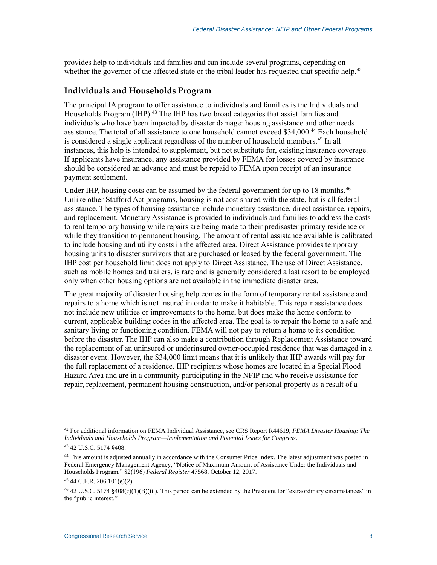provides help to individuals and families and can include several programs, depending on whether the governor of the affected state or the tribal leader has requested that specific help.<sup>42</sup>

#### **Individuals and Households Program**

The principal IA program to offer assistance to individuals and families is the Individuals and Households Program (IHP).<sup>43</sup> The IHP has two broad categories that assist families and individuals who have been impacted by disaster damage: housing assistance and other needs assistance. The total of all assistance to one household cannot exceed \$34,000. <sup>44</sup> Each household is considered a single applicant regardless of the number of household members.<sup>45</sup> In all instances, this help is intended to supplement, but not substitute for, existing insurance coverage. If applicants have insurance, any assistance provided by FEMA for losses covered by insurance should be considered an advance and must be repaid to FEMA upon receipt of an insurance payment settlement.

Under IHP, housing costs can be assumed by the federal government for up to 18 months.<sup>46</sup> Unlike other Stafford Act programs, housing is not cost shared with the state, but is all federal assistance. The types of housing assistance include monetary assistance, direct assistance, repairs, and replacement. Monetary Assistance is provided to individuals and families to address the costs to rent temporary housing while repairs are being made to their predisaster primary residence or while they transition to permanent housing. The amount of rental assistance available is calibrated to include housing and utility costs in the affected area. Direct Assistance provides temporary housing units to disaster survivors that are purchased or leased by the federal government. The IHP cost per household limit does not apply to Direct Assistance. The use of Direct Assistance, such as mobile homes and trailers, is rare and is generally considered a last resort to be employed only when other housing options are not available in the immediate disaster area.

The great majority of disaster housing help comes in the form of temporary rental assistance and repairs to a home which is not insured in order to make it habitable. This repair assistance does not include new utilities or improvements to the home, but does make the home conform to current, applicable building codes in the affected area. The goal is to repair the home to a safe and sanitary living or functioning condition. FEMA will not pay to return a home to its condition before the disaster. The IHP can also make a contribution through Replacement Assistance toward the replacement of an uninsured or underinsured owner-occupied residence that was damaged in a disaster event. However, the \$34,000 limit means that it is unlikely that IHP awards will pay for the full replacement of a residence. IHP recipients whose homes are located in a Special Flood Hazard Area and are in a community participating in the NFIP and who receive assistance for repair, replacement, permanent housing construction, and/or personal property as a result of a

 $\overline{a}$ <sup>42</sup> For additional information on FEMA Individual Assistance, see CRS Report R44619, *FEMA Disaster Housing: The Individuals and Households Program—Implementation and Potential Issues for Congress*.

<sup>43</sup> 42 U.S.C. 5174 §408.

<sup>&</sup>lt;sup>44</sup> This amount is adjusted annually in accordance with the Consumer Price Index. The latest adjustment was posted in Federal Emergency Management Agency, "Notice of Maximum Amount of Assistance Under the Individuals and Households Program," 82(196) *Federal Register* 47568, October 12, 2017.

<sup>45</sup> 44 C.F.R. 206.101(e)(2).

<sup>46</sup> 42 U.S.C. 5174 §408(c)(1)(B)(iii). This period can be extended by the President for "extraordinary circumstances" in the "public interest."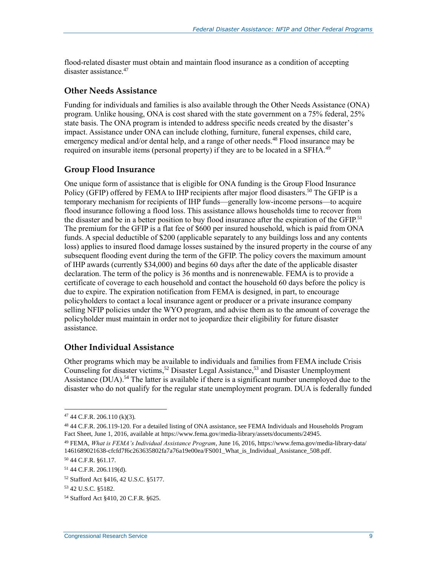flood-related disaster must obtain and maintain flood insurance as a condition of accepting disaster assistance.<sup>47</sup>

#### **Other Needs Assistance**

Funding for individuals and families is also available through the Other Needs Assistance (ONA) program. Unlike housing, ONA is cost shared with the state government on a 75% federal, 25% state basis. The ONA program is intended to address specific needs created by the disaster's impact. Assistance under ONA can include clothing, furniture, funeral expenses, child care, emergency medical and/or dental help, and a range of other needs.<sup>48</sup> Flood insurance may be required on insurable items (personal property) if they are to be located in a SFHA.<sup>49</sup>

#### **Group Flood Insurance**

One unique form of assistance that is eligible for ONA funding is the Group Flood Insurance Policy (GFIP) offered by FEMA to IHP recipients after major flood disasters.<sup>50</sup> The GFIP is a temporary mechanism for recipients of IHP funds—generally low-income persons—to acquire flood insurance following a flood loss. This assistance allows households time to recover from the disaster and be in a better position to buy flood insurance after the expiration of the GFIP.<sup>51</sup> The premium for the GFIP is a flat fee of \$600 per insured household, which is paid from ONA funds. A special deductible of \$200 (applicable separately to any buildings loss and any contents loss) applies to insured flood damage losses sustained by the insured property in the course of any subsequent flooding event during the term of the GFIP. The policy covers the maximum amount of IHP awards (currently \$34,000) and begins 60 days after the date of the applicable disaster declaration. The term of the policy is 36 months and is nonrenewable. FEMA is to provide a certificate of coverage to each household and contact the household 60 days before the policy is due to expire. The expiration notification from FEMA is designed, in part, to encourage policyholders to contact a local insurance agent or producer or a private insurance company selling NFIP policies under the WYO program, and advise them as to the amount of coverage the policyholder must maintain in order not to jeopardize their eligibility for future disaster assistance.

#### **Other Individual Assistance**

Other programs which may be available to individuals and families from FEMA include Crisis Counseling for disaster victims, <sup>52</sup> Disaster Legal Assistance, <sup>53</sup> and Disaster Unemployment Assistance (DUA).<sup>54</sup> The latter is available if there is a significant number unemployed due to the disaster who do not qualify for the regular state unemployment program. DUA is federally funded

 $47$  44 C.F.R. 206.110 (k)(3).

<sup>48</sup> 44 C.F.R. 206.119-120. For a detailed listing of ONA assistance, see FEMA Individuals and Households Program Fact Sheet, June 1, 2016, available at https://www.fema.gov/media-library/assets/documents/24945.

<sup>49</sup> FEMA, *What is FEMA's Individual Assistance Program*, June 16, 2016, https://www.fema.gov/media-library-data/ 1461689021638-cfcfd7f6c263635802fa7a76a19e00ea/FS001\_What\_is\_Individual\_Assistance\_508.pdf.

<sup>50</sup> 44 C.F.R. §61.17.

<sup>51</sup> 44 C.F.R. 206.119(d).

<sup>52</sup> Stafford Act §416, 42 U.S.C. §5177.

<sup>53</sup> 42 U.S.C. §5182.

<sup>54</sup> Stafford Act §410, 20 C.F.R. §625.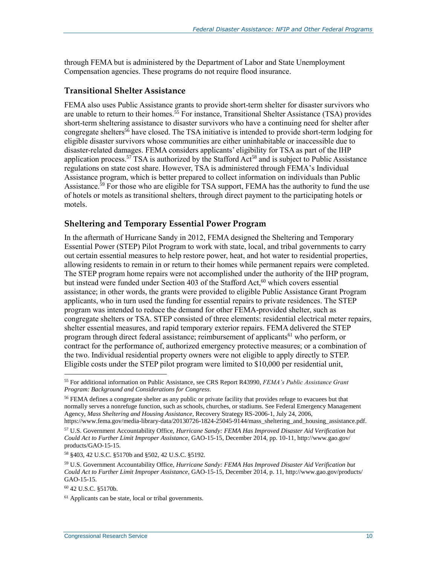through FEMA but is administered by the Department of Labor and State Unemployment Compensation agencies. These programs do not require flood insurance.

#### **Transitional Shelter Assistance**

FEMA also uses Public Assistance grants to provide short-term shelter for disaster survivors who are unable to return to their homes.<sup>55</sup> For instance, Transitional Shelter Assistance (TSA) provides short-term sheltering assistance to disaster survivors who have a continuing need for shelter after congregate shelters<sup>56</sup> have closed. The TSA initiative is intended to provide short-term lodging for eligible disaster survivors whose communities are either uninhabitable or inaccessible due to disaster-related damages. FEMA considers applicants' eligibility for TSA as part of the IHP application process.<sup>57</sup> TSA is authorized by the Stafford Act<sup>58</sup> and is subject to Public Assistance regulations on state cost share. However, TSA is administered through FEMA's Individual Assistance program, which is better prepared to collect information on individuals than Public Assistance.<sup>59</sup> For those who are eligible for TSA support, FEMA has the authority to fund the use of hotels or motels as transitional shelters, through direct payment to the participating hotels or motels.

#### **Sheltering and Temporary Essential Power Program**

In the aftermath of Hurricane Sandy in 2012, FEMA designed the Sheltering and Temporary Essential Power (STEP) Pilot Program to work with state, local, and tribal governments to carry out certain essential measures to help restore power, heat, and hot water to residential properties, allowing residents to remain in or return to their homes while permanent repairs were completed. The STEP program home repairs were not accomplished under the authority of the IHP program, but instead were funded under Section 403 of the Stafford Act,<sup>60</sup> which covers essential assistance; in other words, the grants were provided to eligible Public Assistance Grant Program applicants, who in turn used the funding for essential repairs to private residences. The STEP program was intended to reduce the demand for other FEMA-provided shelter, such as congregate shelters or TSA. STEP consisted of three elements: residential electrical meter repairs, shelter essential measures, and rapid temporary exterior repairs. FEMA delivered the STEP program through direct federal assistance; reimbursement of applicants<sup>61</sup> who perform, or contract for the performance of, authorized emergency protective measures; or a combination of the two. Individual residential property owners were not eligible to apply directly to STEP. Eligible costs under the STEP pilot program were limited to \$10,000 per residential unit,

<sup>58</sup> §403, 42 U.S.C. §5170b and §502, 42 U.S.C. §5192.

<sup>55</sup> For additional information on Public Assistance, see CRS Report R43990, *FEMA's Public Assistance Grant Program: Background and Considerations for Congress*.

<sup>&</sup>lt;sup>56</sup> FEMA defines a congregate shelter as any public or private facility that provides refuge to evacuees but that normally serves a nonrefuge function, such as schools, churches, or stadiums. See Federal Emergency Management Agency, *Mass Sheltering and Housing Assistance*, Recovery Strategy RS-2006-1, July 24, 2006, https://www.fema.gov/media-library-data/20130726-1824-25045-9144/mass\_sheltering\_and\_housing\_assistance.pdf.

<sup>57</sup> U.S. Government Accountability Office, *Hurricane Sandy: FEMA Has Improved Disaster Aid Verification but Could Act to Further Limit Improper Assistance*, GAO-15-15, December 2014, pp. 10-11, http://www.gao.gov/ products/GAO-15-15.

<sup>59</sup> U.S. Government Accountability Office, *Hurricane Sandy: FEMA Has Improved Disaster Aid Verification but Could Act to Further Limit Improper Assistance*, GAO-15-15, December 2014, p. 11, http://www.gao.gov/products/ GAO-15-15.

<sup>60</sup> 42 U.S.C. §5170b.

 $61$  Applicants can be state, local or tribal governments.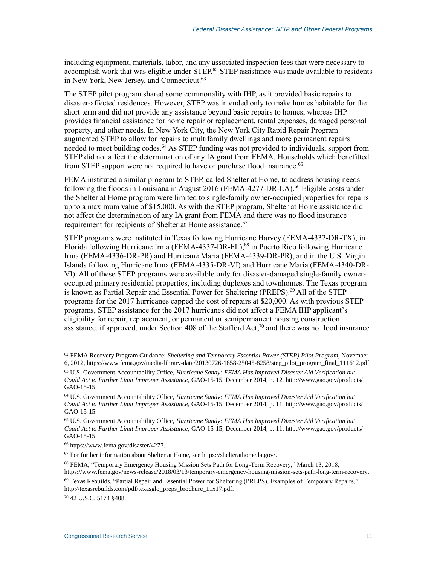including equipment, materials, labor, and any associated inspection fees that were necessary to accomplish work that was eligible under STEP.<sup>62</sup> STEP assistance was made available to residents in New York, New Jersey, and Connecticut.<sup>63</sup>

The STEP pilot program shared some commonality with IHP, as it provided basic repairs to disaster-affected residences. However, STEP was intended only to make homes habitable for the short term and did not provide any assistance beyond basic repairs to homes, whereas IHP provides financial assistance for home repair or replacement, rental expenses, damaged personal property, and other needs. In New York City, the New York City Rapid Repair Program augmented STEP to allow for repairs to multifamily dwellings and more permanent repairs needed to meet building codes.<sup>64</sup> As STEP funding was not provided to individuals, support from STEP did not affect the determination of any IA grant from FEMA. Households which benefitted from STEP support were not required to have or purchase flood insurance.<sup>65</sup>

FEMA instituted a similar program to STEP, called Shelter at Home, to address housing needs following the floods in Louisiana in August 2016 (FEMA-4277-DR-LA).<sup>66</sup> Eligible costs under the Shelter at Home program were limited to single-family owner-occupied properties for repairs up to a maximum value of \$15,000. As with the STEP program, Shelter at Home assistance did not affect the determination of any IA grant from FEMA and there was no flood insurance requirement for recipients of Shelter at Home assistance.<sup>67</sup>

STEP programs were instituted in Texas following Hurricane Harvey (FEMA-4332-DR-TX), in Florida following Hurricane Irma (FEMA-4337-DR-FL),<sup>68</sup> in Puerto Rico following Hurricane Irma (FEMA-4336-DR-PR) and Hurricane Maria (FEMA-4339-DR-PR), and in the U.S. Virgin Islands following Hurricane Irma (FEMA-4335-DR-VI) and Hurricane Maria (FEMA-4340-DR-VI). All of these STEP programs were available only for disaster-damaged single-family owneroccupied primary residential properties, including duplexes and townhomes. The Texas program is known as Partial Repair and Essential Power for Sheltering (PREPS). <sup>69</sup> All of the STEP programs for the 2017 hurricanes capped the cost of repairs at \$20,000. As with previous STEP programs, STEP assistance for the 2017 hurricanes did not affect a FEMA IHP applicant's eligibility for repair, replacement, or permanent or semipermanent housing construction assistance, if approved, under Section 408 of the Stafford Act,<sup>70</sup> and there was no flood insurance

<sup>62</sup> FEMA Recovery Program Guidance: *Sheltering and Temporary Essential Power (STEP) Pilot Program*, November 6, 2012, https://www.fema.gov/media-library-data/20130726-1858-25045-8258/step\_pilot\_program\_final\_111612.pdf.

<sup>63</sup> U.S. Government Accountability Office, *Hurricane Sandy: FEMA Has Improved Disaster Aid Verification but Could Act to Further Limit Improper Assistance*, GAO-15-15, December 2014, p. 12, http://www.gao.gov/products/ GAO-15-15.

<sup>64</sup> U.S. Government Accountability Office, *Hurricane Sandy: FEMA Has Improved Disaster Aid Verification but Could Act to Further Limit Improper Assistance*, GAO-15-15, December 2014, p. 11, http://www.gao.gov/products/ GAO-15-15.

<sup>65</sup> U.S. Government Accountability Office, *Hurricane Sandy: FEMA Has Improved Disaster Aid Verification but Could Act to Further Limit Improper Assistance*, GAO-15-15, December 2014, p. 11, http://www.gao.gov/products/ GAO-15-15.

<sup>66</sup> https://www.fema.gov/disaster/4277.

<sup>67</sup> For further information about Shelter at Home, see https://shelterathome.la.gov/.

<sup>68</sup> FEMA, "Temporary Emergency Housing Mission Sets Path for Long-Term Recovery," March 13, 2018, https://www.fema.gov/news-release/2018/03/13/temporary-emergency-housing-mission-sets-path-long-term-recovery.

<sup>69</sup> Texas Rebuilds, "Partial Repair and Essential Power for Sheltering (PREPS), Examples of Temporary Repairs," http://texasrebuilds.com/pdf/texasglo\_preps\_brochure\_11x17.pdf.

<sup>70</sup> 42 U.S.C. 5174 §408.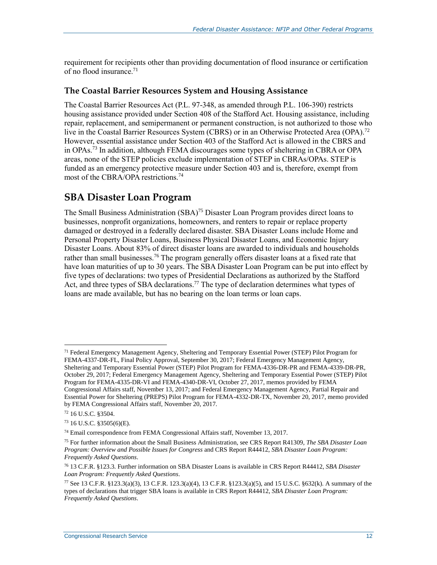requirement for recipients other than providing documentation of flood insurance or certification of no flood insurance. 71

#### **The Coastal Barrier Resources System and Housing Assistance**

The Coastal Barrier Resources Act [\(P.L. 97-348,](http://www.congress.gov/cgi-lis/bdquery/R?d097:FLD002:@1(97+348)) as amended through [P.L. 106-390\)](http://www.congress.gov/cgi-lis/bdquery/R?d106:FLD002:@1(106+390)) restricts housing assistance provided under Section 408 of the Stafford Act. Housing assistance, including repair, replacement, and semipermanent or permanent construction, is not authorized to those who live in the Coastal Barrier Resources System (CBRS) or in an Otherwise Protected Area (OPA).<sup>72</sup> However, essential assistance under Section 403 of the Stafford Act is allowed in the CBRS and in OPAs.<sup>73</sup> In addition, although FEMA discourages some types of sheltering in CBRA or OPA areas, none of the STEP policies exclude implementation of STEP in CBRAs/OPAs. STEP is funded as an emergency protective measure under Section 403 and is, therefore, exempt from most of the CBRA/OPA restrictions.<sup>74</sup>

### **SBA Disaster Loan Program**

The Small Business Administration (SBA)<sup>75</sup> Disaster Loan Program provides direct loans to businesses, nonprofit organizations, homeowners, and renters to repair or replace property damaged or destroyed in a federally declared disaster. SBA Disaster Loans include Home and Personal Property Disaster Loans, Business Physical Disaster Loans, and Economic Injury Disaster Loans. About 83% of direct disaster loans are awarded to individuals and households rather than small businesses.<sup>76</sup> The program generally offers disaster loans at a fixed rate that have loan maturities of up to 30 years. The SBA Disaster Loan Program can be put into effect by five types of declarations: two types of Presidential Declarations as authorized by the Stafford Act, and three types of SBA declarations.<sup>77</sup> The type of declaration determines what types of loans are made available, but has no bearing on the loan terms or loan caps.

<sup>71</sup> Federal Emergency Management Agency, Sheltering and Temporary Essential Power (STEP) Pilot Program for FEMA-4337-DR-FL, Final Policy Approval, September 30, 2017; Federal Emergency Management Agency, Sheltering and Temporary Essential Power (STEP) Pilot Program for FEMA-4336-DR-PR and FEMA-4339-DR-PR, October 29, 2017; Federal Emergency Management Agency, Sheltering and Temporary Essential Power (STEP) Pilot Program for FEMA-4335-DR-VI and FEMA-4340-DR-VI, October 27, 2017, memos provided by FEMA Congressional Affairs staff, November 13, 2017; and Federal Emergency Management Agency, Partial Repair and Essential Power for Sheltering (PREPS) Pilot Program for FEMA-4332-DR-TX, November 20, 2017, memo provided by FEMA Congressional Affairs staff, November 20, 2017.

<sup>72</sup> 16 U.S.C. §3504.

<sup>73</sup> 16 U.S.C. §3505(6)(E).

<sup>74</sup> Email correspondence from FEMA Congressional Affairs staff, November 13, 2017.

<sup>75</sup> For further information about the Small Business Administration, see CRS Report R41309, *The SBA Disaster Loan Program: Overview and Possible Issues for Congress* and CRS Report R44412, *SBA Disaster Loan Program: Frequently Asked Questions*.

<sup>76</sup> 13 C.F.R. §123.3. Further information on SBA Disaster Loans is available in CRS Report R44412, *SBA Disaster Loan Program: Frequently Asked Questions*.

<sup>77</sup> See 13 C.F.R. §123.3(a)(3), 13 C.F.R. 123.3(a)(4), 13 C.F.R. §123.3(a)(5), and 15 U.S.C. §632(k). A summary of the types of declarations that trigger SBA loans is available in CRS Report R44412, *SBA Disaster Loan Program: Frequently Asked Questions*.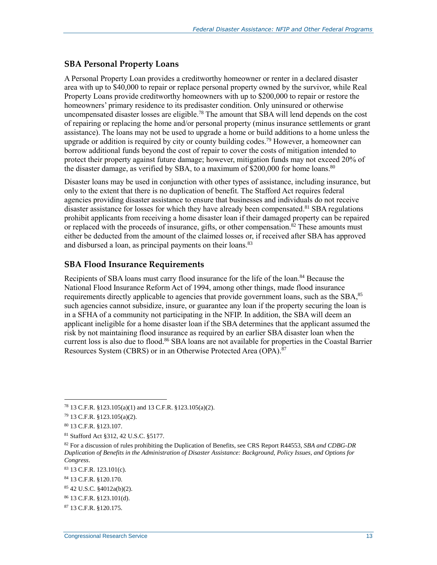#### **SBA Personal Property Loans**

A Personal Property Loan provides a creditworthy homeowner or renter in a declared disaster area with up to \$40,000 to repair or replace personal property owned by the survivor, while Real Property Loans provide creditworthy homeowners with up to \$200,000 to repair or restore the homeowners' primary residence to its predisaster condition. Only uninsured or otherwise uncompensated disaster losses are eligible.<sup>78</sup> The amount that SBA will lend depends on the cost of repairing or replacing the home and/or personal property (minus insurance settlements or grant assistance). The loans may not be used to upgrade a home or build additions to a home unless the upgrade or addition is required by city or county building codes.<sup>79</sup> However, a homeowner can borrow additional funds beyond the cost of repair to cover the costs of mitigation intended to protect their property against future damage; however, mitigation funds may not exceed 20% of the disaster damage, as verified by SBA, to a maximum of \$200,000 for home loans.<sup>80</sup>

Disaster loans may be used in conjunction with other types of assistance, including insurance, but only to the extent that there is no duplication of benefit. The Stafford Act requires federal agencies providing disaster assistance to ensure that businesses and individuals do not receive disaster assistance for losses for which they have already been compensated.<sup>81</sup> SBA regulations prohibit applicants from receiving a home disaster loan if their damaged property can be repaired or replaced with the proceeds of insurance, gifts, or other compensation.<sup>82</sup> These amounts must either be deducted from the amount of the claimed losses or, if received after SBA has approved and disbursed a loan, as principal payments on their loans.<sup>83</sup>

#### **SBA Flood Insurance Requirements**

Recipients of SBA loans must carry flood insurance for the life of the loan.<sup>84</sup> Because the National Flood Insurance Reform Act of 1994, among other things, made flood insurance requirements directly applicable to agencies that provide government loans, such as the SBA,<sup>85</sup> such agencies cannot subsidize, insure, or guarantee any loan if the property securing the loan is in a SFHA of a community not participating in the NFIP. In addition, the SBA will deem an applicant ineligible for a home disaster loan if the SBA determines that the applicant assumed the risk by not maintaining flood insurance as required by an earlier SBA disaster loan when the current loss is also due to flood.<sup>86</sup> SBA loans are not available for properties in the Coastal Barrier Resources System (CBRS) or in an Otherwise Protected Area (OPA).<sup>87</sup>

<sup>78</sup> 13 C.F.R. §123.105(a)(1) and 13 C.F.R. §123.105(a)(2).

<sup>79</sup> 13 C.F.R. §123.105(a)(2).

<sup>80</sup> 13 C.F.R. §123.107.

<sup>81</sup> Stafford Act §312, 42 U.S.C. §5177.

<sup>82</sup> For a discussion of rules prohibiting the Duplication of Benefits, see CRS Report R44553, *SBA and CDBG-DR Duplication of Benefits in the Administration of Disaster Assistance: Background, Policy Issues, and Options for Congress*.

<sup>83</sup> 13 C.F.R. 123.101(c).

<sup>84</sup> 13 C.F.R. §120.170.

<sup>85</sup> 42 U.S.C. §4012a(b)(2).

<sup>86</sup> 13 C.F.R. §123.101(d).

<sup>87</sup> 13 C.F.R. §120.175.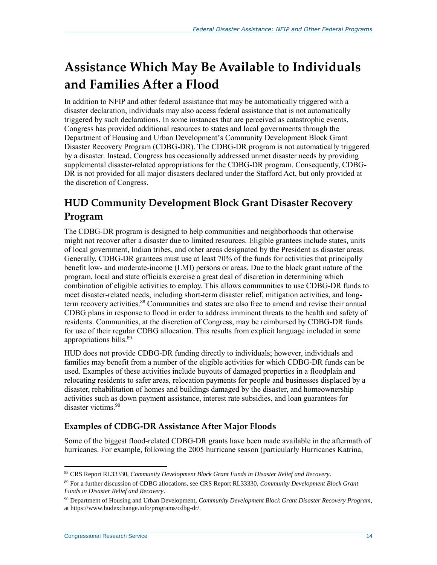## **Assistance Which May Be Available to Individuals and Families After a Flood**

In addition to NFIP and other federal assistance that may be automatically triggered with a disaster declaration, individuals may also access federal assistance that is not automatically triggered by such declarations. In some instances that are perceived as catastrophic events, Congress has provided additional resources to states and local governments through the Department of Housing and Urban Development's Community Development Block Grant Disaster Recovery Program (CDBG-DR). The CDBG-DR program is not automatically triggered by a disaster. Instead, Congress has occasionally addressed unmet disaster needs by providing supplemental disaster-related appropriations for the CDBG-DR program. Consequently, CDBG-DR is not provided for all major disasters declared under the Stafford Act, but only provided at the discretion of Congress.

## **HUD Community Development Block Grant Disaster Recovery Program**

The CDBG-DR program is designed to help communities and neighborhoods that otherwise might not recover after a disaster due to limited resources. Eligible grantees include states, units of local government, Indian tribes, and other areas designated by the President as disaster areas. Generally, CDBG-DR grantees must use at least 70% of the funds for activities that principally benefit low- and moderate-income (LMI) persons or areas. Due to the block grant nature of the program, local and state officials exercise a great deal of discretion in determining which combination of eligible activities to employ. This allows communities to use CDBG-DR funds to meet disaster-related needs, including short-term disaster relief, mitigation activities, and longterm recovery activities.<sup>88</sup> Communities and states are also free to amend and revise their annual CDBG plans in response to flood in order to address imminent threats to the health and safety of residents. Communities, at the discretion of Congress, may be reimbursed by CDBG-DR funds for use of their regular CDBG allocation. This results from explicit language included in some appropriations bills.<sup>89</sup>

HUD does not provide CDBG-DR funding directly to individuals; however, individuals and families may benefit from a number of the eligible activities for which CDBG-DR funds can be used. Examples of these activities include buyouts of damaged properties in a floodplain and relocating residents to safer areas, relocation payments for people and businesses displaced by a disaster, rehabilitation of homes and buildings damaged by the disaster, and homeownership activities such as down payment assistance, interest rate subsidies, and loan guarantees for disaster victims.<sup>90</sup>

#### **Examples of CDBG-DR Assistance After Major Floods**

Some of the biggest flood-related CDBG-DR grants have been made available in the aftermath of hurricanes. For example, following the 2005 hurricane season (particularly Hurricanes Katrina,

<sup>88</sup> CRS Report RL33330, *Community Development Block Grant Funds in Disaster Relief and Recovery*.

<sup>89</sup> For a further discussion of CDBG allocations, see CRS Report RL33330, *Community Development Block Grant Funds in Disaster Relief and Recovery*.

<sup>90</sup> Department of Housing and Urban Development, *Community Development Block Grant Disaster Recovery Program*, at https://www.hudexchange.info/programs/cdbg-dr/.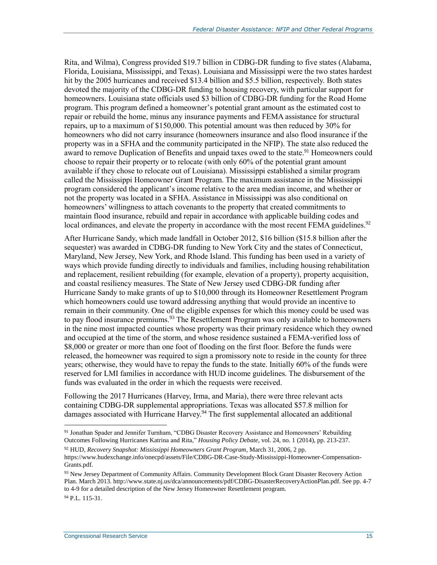Rita, and Wilma), Congress provided \$19.7 billion in CDBG-DR funding to five states (Alabama, Florida, Louisiana, Mississippi, and Texas). Louisiana and Mississippi were the two states hardest hit by the 2005 hurricanes and received \$13.4 billion and \$5.5 billion, respectively. Both states devoted the majority of the CDBG-DR funding to housing recovery, with particular support for homeowners. Louisiana state officials used \$3 billion of CDBG-DR funding for the Road Home program. This program defined a homeowner's potential grant amount as the estimated cost to repair or rebuild the home, minus any insurance payments and FEMA assistance for structural repairs, up to a maximum of \$150,000. This potential amount was then reduced by 30% for homeowners who did not carry insurance (homeowners insurance and also flood insurance if the property was in a SFHA and the community participated in the NFIP). The state also reduced the award to remove Duplication of Benefits and unpaid taxes owed to the state.<sup>91</sup> Homeowners could choose to repair their property or to relocate (with only 60% of the potential grant amount available if they chose to relocate out of Louisiana). Mississippi established a similar program called the Mississippi Homeowner Grant Program. The maximum assistance in the Mississippi program considered the applicant's income relative to the area median income, and whether or not the property was located in a SFHA. Assistance in Mississippi was also conditional on homeowners' willingness to attach covenants to the property that created commitments to maintain flood insurance, rebuild and repair in accordance with applicable building codes and local ordinances, and elevate the property in accordance with the most recent FEMA guidelines.<sup>92</sup>

After Hurricane Sandy, which made landfall in October 2012, \$16 billion (\$15.8 billion after the sequester) was awarded in CDBG-DR funding to New York City and the states of Connecticut, Maryland, New Jersey, New York, and Rhode Island. This funding has been used in a variety of ways which provide funding directly to individuals and families, including housing rehabilitation and replacement, resilient rebuilding (for example, elevation of a property), property acquisition, and coastal resiliency measures. The State of New Jersey used CDBG-DR funding after Hurricane Sandy to make grants of up to \$10,000 through its Homeowner Resettlement Program which homeowners could use toward addressing anything that would provide an incentive to remain in their community. One of the eligible expenses for which this money could be used was to pay flood insurance premiums.<sup>93</sup> The Resettlement Program was only available to homeowners in the nine most impacted counties whose property was their primary residence which they owned and occupied at the time of the storm, and whose residence sustained a FEMA-verified loss of \$8,000 or greater or more than one foot of flooding on the first floor. Before the funds were released, the homeowner was required to sign a promissory note to reside in the county for three years; otherwise, they would have to repay the funds to the state. Initially 60% of the funds were reserved for LMI families in accordance with HUD income guidelines. The disbursement of the funds was evaluated in the order in which the requests were received.

Following the 2017 Hurricanes (Harvey, Irma, and Maria), there were three relevant acts containing CDBG-DR supplemental appropriations. Texas was allocated \$57.8 million for damages associated with Hurricane Harvey.<sup>94</sup> The first supplemental allocated an additional

<sup>91</sup> Jonathan Spader and Jennifer Turnham, "CDBG Disaster Recovery Assistance and Homeowners' Rebuilding Outcomes Following Hurricanes Katrina and Rita," *Housing Policy Debate*, vol. 24, no. 1 (2014), pp. 213-237.

<sup>92</sup> HUD, *Recovery Snapshot: Mississippi Homeowners Grant Program*, March 31, 2006, 2 pp. https://www.hudexchange.info/onecpd/assets/File/CDBG-DR-Case-Study-Mississippi-Homeowner-Compensation-Grants.pdf.

<sup>93</sup> New Jersey Department of Community Affairs. Community Development Block Grant Disaster Recovery Action Plan. March 2013. http://www.state.nj.us/dca/announcements/pdf/CDBG-DisasterRecoveryActionPlan.pdf. See pp. 4-7 to 4-9 for a detailed description of the New Jersey Homeowner Resettlement program.

<sup>94</sup> P.L. 115-31.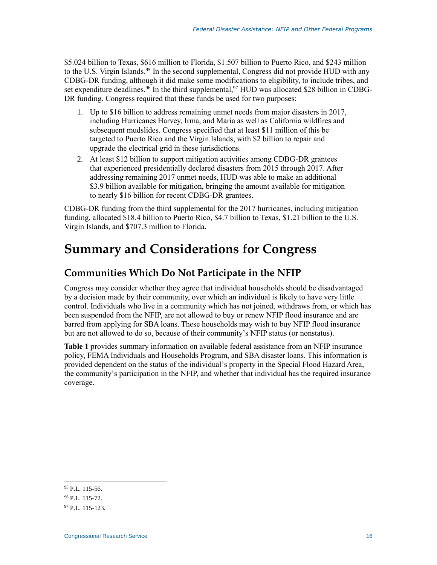\$5.024 billion to Texas, \$616 million to Florida, \$1.507 billion to Puerto Rico, and \$243 million to the U.S. Virgin Islands.<sup>95</sup> In the second supplemental, Congress did not provide HUD with any CDBG-DR funding, although it did make some modifications to eligibility, to include tribes, and set expenditure deadlines.<sup>96</sup> In the third supplemental,<sup>97</sup> HUD was allocated \$28 billion in CDBG-DR funding. Congress required that these funds be used for two purposes:

- 1. Up to \$16 billion to address remaining unmet needs from major disasters in 2017, including Hurricanes Harvey, Irma, and Maria as well as California wildfires and subsequent mudslides. Congress specified that at least \$11 million of this be targeted to Puerto Rico and the Virgin Islands, with \$2 billion to repair and upgrade the electrical grid in these jurisdictions.
- 2. At least \$12 billion to support mitigation activities among CDBG-DR grantees that experienced presidentially declared disasters from 2015 through 2017. After addressing remaining 2017 unmet needs, HUD was able to make an additional \$3.9 billion available for mitigation, bringing the amount available for mitigation to nearly \$16 billion for recent CDBG-DR grantees.

CDBG-DR funding from the third supplemental for the 2017 hurricanes, including mitigation funding, allocated \$18.4 billion to Puerto Rico, \$4.7 billion to Texas, \$1.21 billion to the U.S. Virgin Islands, and \$707.3 million to Florida.

## **Summary and Considerations for Congress**

### **Communities Which Do Not Participate in the NFIP**

Congress may consider whether they agree that individual households should be disadvantaged by a decision made by their community, over which an individual is likely to have very little control. Individuals who live in a community which has not joined, withdraws from, or which has been suspended from the NFIP, are not allowed to buy or renew NFIP flood insurance and are barred from applying for SBA loans. These households may wish to buy NFIP flood insurance but are not allowed to do so, because of their community's NFIP status (or nonstatus).

**[Table 1](#page-19-0)** provides summary information on available federal assistance from an NFIP insurance policy, FEMA Individuals and Households Program, and SBA disaster loans. This information is provided dependent on the status of the individual's property in the Special Flood Hazard Area, the community's participation in the NFIP, and whether that individual has the required insurance coverage.

<sup>95</sup> P.L. 115-56.

 $96$  P.L. 115-72.

<sup>97</sup> P.L. 115-123.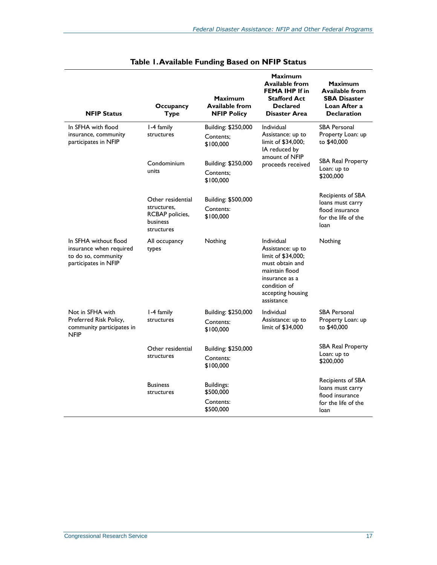<span id="page-19-0"></span>

| <b>NFIP Status</b>                                                                              | Occupancy<br><b>Type</b>                  | <b>Maximum</b><br><b>Available from</b><br><b>NFIP Policy</b> | <b>Maximum</b><br><b>Available from</b><br><b>FEMA IHP If in</b><br><b>Stafford Act</b><br><b>Declared</b><br><b>Disaster Area</b>                              | Maximum<br><b>Available from</b><br><b>SBA Disaster</b><br>Loan After a<br><b>Declaration</b> |
|-------------------------------------------------------------------------------------------------|-------------------------------------------|---------------------------------------------------------------|-----------------------------------------------------------------------------------------------------------------------------------------------------------------|-----------------------------------------------------------------------------------------------|
| In SFHA with flood<br>insurance, community<br>participates in NFIP                              | 1-4 family<br>structures                  | Building: \$250,000                                           | Individual<br>Assistance: up to<br>limit of \$34,000;<br>IA reduced by<br>amount of NFIP<br>proceeds received                                                   | <b>SBA Personal</b><br>Property Loan: up<br>to \$40,000                                       |
|                                                                                                 |                                           | Contents:<br>\$100,000                                        |                                                                                                                                                                 |                                                                                               |
|                                                                                                 | Condominium<br>units                      | Building: \$250,000                                           |                                                                                                                                                                 | <b>SBA Real Property</b><br>Loan: up to<br>\$200,000                                          |
|                                                                                                 |                                           | Contents:<br>\$100,000                                        |                                                                                                                                                                 |                                                                                               |
|                                                                                                 | Other residential                         | Building: \$500,000                                           |                                                                                                                                                                 | Recipients of SBA                                                                             |
|                                                                                                 | structures.                               | Contents:                                                     |                                                                                                                                                                 | loans must carry<br>flood insurance<br>for the life of the<br>loan                            |
|                                                                                                 | RCBAP policies,<br>business<br>structures | \$100,000                                                     |                                                                                                                                                                 |                                                                                               |
| In SFHA without flood<br>insurance when required<br>to do so, community<br>participates in NFIP | All occupancy<br>types                    | Nothing                                                       | Individual<br>Assistance: up to<br>limit of \$34,000;<br>must obtain and<br>maintain flood<br>insurance as a<br>condition of<br>accepting housing<br>assistance | Nothing                                                                                       |
| Not in SFHA with<br>Preferred Risk Policy,<br>community participates in<br><b>NFIP</b>          | I-4 family<br>structures                  | Building: \$250,000<br>Contents:<br>\$100,000                 | Individual<br>Assistance: up to<br>limit of \$34,000                                                                                                            | <b>SBA Personal</b><br>Property Loan: up<br>to \$40,000                                       |
|                                                                                                 | Other residential<br>structures           | Building: \$250,000                                           |                                                                                                                                                                 | SBA Real Property<br>Loan: up to<br>\$200,000                                                 |
|                                                                                                 |                                           | Contents:<br>\$100,000                                        |                                                                                                                                                                 |                                                                                               |
|                                                                                                 | <b>Business</b><br>structures             | Buildings:<br>\$500,000                                       |                                                                                                                                                                 | Recipients of SBA<br>loans must carry<br>flood insurance                                      |
|                                                                                                 |                                           | Contents:<br>\$500,000                                        |                                                                                                                                                                 | for the life of the<br>loan                                                                   |

| Table I. Available Funding Based on NFIP Status |  |
|-------------------------------------------------|--|
|-------------------------------------------------|--|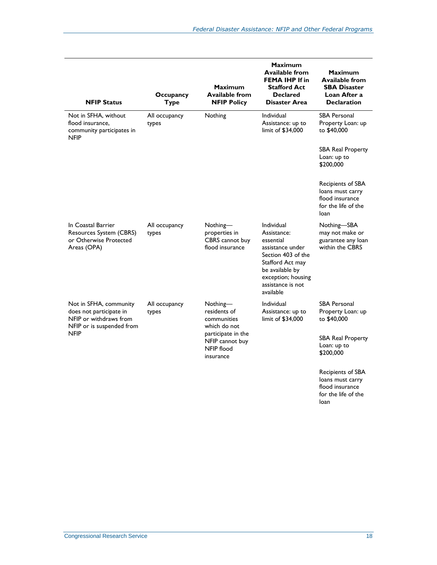| <b>NFIP Status</b>                                                                                       | Occupancy<br><b>Type</b> | <b>Maximum</b><br><b>Available from</b><br><b>NFIP Policy</b>    | <b>Maximum</b><br><b>Available from</b><br><b>FEMA IHP If in</b><br><b>Stafford Act</b><br><b>Declared</b><br>Disaster Area                                                            | <b>Maximum</b><br><b>Available from</b><br><b>SBA Disaster</b><br>Loan After a<br><b>Declaration</b> |
|----------------------------------------------------------------------------------------------------------|--------------------------|------------------------------------------------------------------|----------------------------------------------------------------------------------------------------------------------------------------------------------------------------------------|------------------------------------------------------------------------------------------------------|
| Not in SFHA, without<br>flood insurance,<br>community participates in<br><b>NFIP</b>                     | All occupancy<br>types   | Nothing                                                          | Individual<br>Assistance: up to<br>limit of \$34,000                                                                                                                                   | <b>SBA Personal</b><br>Property Loan: up<br>to \$40,000                                              |
|                                                                                                          |                          |                                                                  |                                                                                                                                                                                        | <b>SBA Real Property</b><br>Loan: up to<br>\$200,000                                                 |
|                                                                                                          |                          |                                                                  |                                                                                                                                                                                        | Recipients of SBA<br>loans must carry<br>flood insurance<br>for the life of the<br>loan              |
| In Coastal Barrier<br>Resources System (CBRS)<br>or Otherwise Protected<br>Areas (OPA)                   | All occupancy<br>types   | Nothing-<br>properties in<br>CBRS cannot buy<br>flood insurance  | <b>Individual</b><br>Assistance:<br>essential<br>assistance under<br>Section 403 of the<br>Stafford Act may<br>be available by<br>exception; housing<br>assistance is not<br>available | Nothing-SBA<br>may not make or<br>guarantee any loan<br>within the CBRS                              |
| Not in SFHA, community<br>does not participate in<br>NFIP or withdraws from<br>NFIP or is suspended from | All occupancy<br>types   | Nothing-<br>residents of<br>communities<br>which do not          | Individual<br>Assistance: up to<br>limit of \$34,000                                                                                                                                   | <b>SBA Personal</b><br>Property Loan: up<br>to \$40,000                                              |
| <b>NFIP</b>                                                                                              |                          | participate in the<br>NFIP cannot buy<br>NFIP flood<br>insurance |                                                                                                                                                                                        | <b>SBA Real Property</b><br>Loan: up to<br>\$200,000                                                 |
|                                                                                                          |                          |                                                                  |                                                                                                                                                                                        | Recipients of SBA<br>loans must carry<br>flood insurance<br>for the life of the<br>loan              |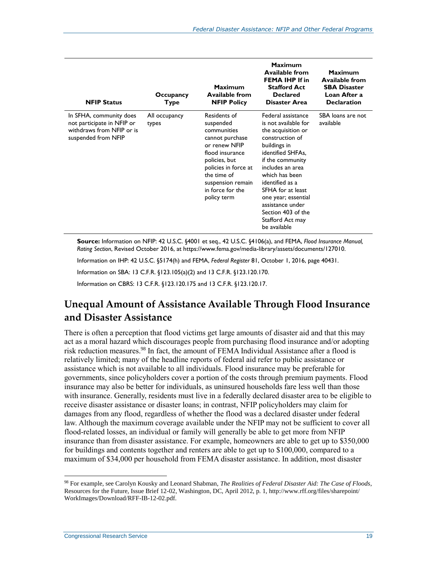| <b>NFIP Status</b>                                                                                        | Occupancy<br>Type      | Maximum<br><b>Available from</b><br><b>NFIP Policy</b>                                                                                                                                                          | <b>Maximum</b><br><b>Available from</b><br><b>FEMA IHP If in</b><br><b>Stafford Act</b><br><b>Declared</b><br><b>Disaster Area</b>                                                                                                                                                                                              | Maximum<br><b>Available from</b><br><b>SBA Disaster</b><br>Loan After a<br><b>Declaration</b> |
|-----------------------------------------------------------------------------------------------------------|------------------------|-----------------------------------------------------------------------------------------------------------------------------------------------------------------------------------------------------------------|---------------------------------------------------------------------------------------------------------------------------------------------------------------------------------------------------------------------------------------------------------------------------------------------------------------------------------|-----------------------------------------------------------------------------------------------|
| In SFHA, community does<br>not participate in NFIP or<br>withdraws from NFIP or is<br>suspended from NFIP | All occupancy<br>types | Residents of<br>suspended<br>communities<br>cannot purchase<br>or renew NFIP<br>flood insurance<br>policies, but<br>policies in force at<br>the time of<br>suspension remain<br>in force for the<br>policy term | Federal assistance<br>is not available for<br>the acquisition or<br>construction of<br>buildings in<br>identified SHFAs,<br>if the community<br>includes an area<br>which has been<br>identified as a<br>SFHA for at least<br>one year; essential<br>assistance under<br>Section 403 of the<br>Stafford Act may<br>be available | SBA loans are not<br>available                                                                |

**Source:** Information on NFIP: 42 U.S.C. §4001 et seq., 42 U.S.C. §4106(a), and FEMA, *Flood Insurance Manual, Rating Section*, Revised October 2016, at [https://www.fema.gov/media-library/assets/documents/127010.](https://www.fema.gov/media-library/assets/documents/127010)

Information on IHP: 42 U.S.C. §5174(h) and FEMA, *Federal Register* 81, October 1, 2016, page 40431.

Information on SBA: 13 C.F.R. §123.105(a)(2) and 13 C.F.R. §123.120.170.

Information on CBRS: 13 C.F.R. §123.120.175 and 13 C.F.R. §123.120.17.

## **Unequal Amount of Assistance Available Through Flood Insurance and Disaster Assistance**

There is often a perception that flood victims get large amounts of disaster aid and that this may act as a moral hazard which discourages people from purchasing flood insurance and/or adopting risk reduction measures.<sup>98</sup> In fact, the amount of FEMA Individual Assistance after a flood is relatively limited; many of the headline reports of federal aid refer to public assistance or assistance which is not available to all individuals. Flood insurance may be preferable for governments, since policyholders cover a portion of the costs through premium payments. Flood insurance may also be better for individuals, as uninsured households fare less well than those with insurance. Generally, residents must live in a federally declared disaster area to be eligible to receive disaster assistance or disaster loans; in contrast, NFIP policyholders may claim for damages from any flood, regardless of whether the flood was a declared disaster under federal law. Although the maximum coverage available under the NFIP may not be sufficient to cover all flood-related losses, an individual or family will generally be able to get more from NFIP insurance than from disaster assistance. For example, homeowners are able to get up to \$350,000 for buildings and contents together and renters are able to get up to \$100,000, compared to a maximum of \$34,000 per household from FEMA disaster assistance. In addition, most disaster

<sup>98</sup> For example, see Carolyn Kousky and Leonard Shabman, *The Realities of Federal Disaster Aid: The Case of Floods*, Resources for the Future, Issue Brief 12-02, Washington, DC, April 2012, p. 1, http://www.rff.org/files/sharepoint/ WorkImages/Download/RFF-IB-12-02.pdf.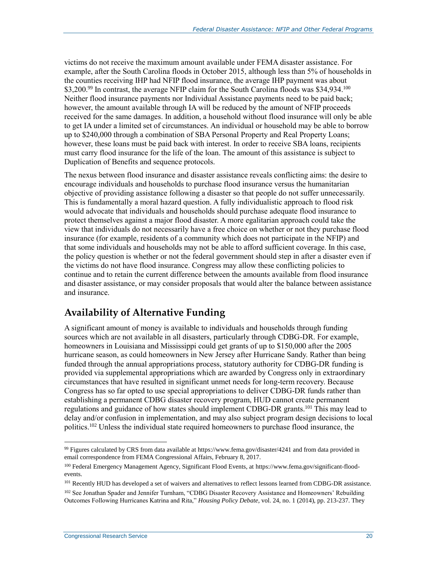victims do not receive the maximum amount available under FEMA disaster assistance. For example, after the South Carolina floods in October 2015, although less than 5% of households in the counties receiving IHP had NFIP flood insurance, the average IHP payment was about \$3,200.<sup>99</sup> In contrast, the average NFIP claim for the South Carolina floods was \$34,934.<sup>100</sup> Neither flood insurance payments nor Individual Assistance payments need to be paid back; however, the amount available through IA will be reduced by the amount of NFIP proceeds received for the same damages. In addition, a household without flood insurance will only be able to get IA under a limited set of circumstances. An individual or household may be able to borrow up to \$240,000 through a combination of SBA Personal Property and Real Property Loans; however, these loans must be paid back with interest. In order to receive SBA loans, recipients must carry flood insurance for the life of the loan. The amount of this assistance is subject to Duplication of Benefits and sequence protocols.

The nexus between flood insurance and disaster assistance reveals conflicting aims: the desire to encourage individuals and households to purchase flood insurance versus the humanitarian objective of providing assistance following a disaster so that people do not suffer unnecessarily. This is fundamentally a moral hazard question. A fully individualistic approach to flood risk would advocate that individuals and households should purchase adequate flood insurance to protect themselves against a major flood disaster. A more egalitarian approach could take the view that individuals do not necessarily have a free choice on whether or not they purchase flood insurance (for example, residents of a community which does not participate in the NFIP) and that some individuals and households may not be able to afford sufficient coverage. In this case, the policy question is whether or not the federal government should step in after a disaster even if the victims do not have flood insurance. Congress may allow these conflicting policies to continue and to retain the current difference between the amounts available from flood insurance and disaster assistance, or may consider proposals that would alter the balance between assistance and insurance.

## **Availability of Alternative Funding**

A significant amount of money is available to individuals and households through funding sources which are not available in all disasters, particularly through CDBG-DR. For example, homeowners in Louisiana and Mississippi could get grants of up to \$150,000 after the 2005 hurricane season, as could homeowners in New Jersey after Hurricane Sandy. Rather than being funded through the annual appropriations process, statutory authority for CDBG-DR funding is provided via supplemental appropriations which are awarded by Congress only in extraordinary circumstances that have resulted in significant unmet needs for long-term recovery. Because Congress has so far opted to use special appropriations to deliver CDBG-DR funds rather than establishing a permanent CDBG disaster recovery program, HUD cannot create permanent regulations and guidance of how states should implement CDBG-DR grants.<sup>101</sup> This may lead to delay and/or confusion in implementation, and may also subject program design decisions to local politics.<sup>102</sup> Unless the individual state required homeowners to purchase flood insurance, the

<sup>99</sup> Figures calculated by CRS from data available at https://www.fema.gov/disaster/4241 and from data provided in email correspondence from FEMA Congressional Affairs, February 8, 2017.

<sup>100</sup> Federal Emergency Management Agency, Significant Flood Events, at https://www.fema.gov/significant-floodevents.

<sup>&</sup>lt;sup>101</sup> Recently HUD has developed a set of waivers and alternatives to reflect lessons learned from CDBG-DR assistance.

<sup>&</sup>lt;sup>102</sup> See Jonathan Spader and Jennifer Turnham, "CDBG Disaster Recovery Assistance and Homeowners' Rebuilding Outcomes Following Hurricanes Katrina and Rita," *Housing Policy Debate*, vol. 24, no. 1 (2014), pp. 213-237. They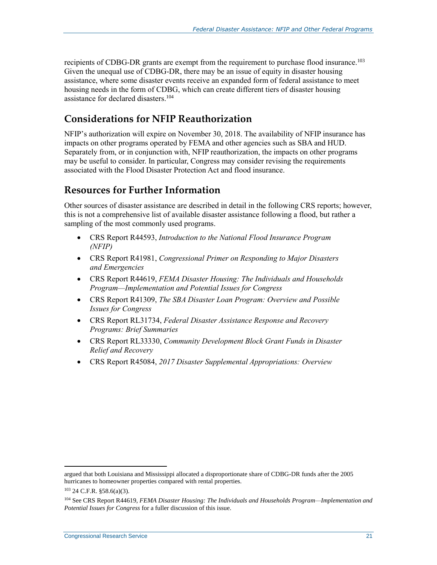recipients of CDBG-DR grants are exempt from the requirement to purchase flood insurance.<sup>103</sup> Given the unequal use of CDBG-DR, there may be an issue of equity in disaster housing assistance, where some disaster events receive an expanded form of federal assistance to meet housing needs in the form of CDBG, which can create different tiers of disaster housing assistance for declared disasters. 104

## **Considerations for NFIP Reauthorization**

NFIP's authorization will expire on November 30, 2018. The availability of NFIP insurance has impacts on other programs operated by FEMA and other agencies such as SBA and HUD. Separately from, or in conjunction with, NFIP reauthorization, the impacts on other programs may be useful to consider. In particular, Congress may consider revising the requirements associated with the Flood Disaster Protection Act and flood insurance.

### **Resources for Further Information**

Other sources of disaster assistance are described in detail in the following CRS reports; however, this is not a comprehensive list of available disaster assistance following a flood, but rather a sampling of the most commonly used programs.

- CRS Report R44593, *[Introduction to the National Flood Insurance Program](http://www.crs.gov/Reports/R44593)  [\(NFIP\)](http://www.crs.gov/Reports/R44593)*
- CRS Report R41981, *[Congressional Primer on Responding to Major Disasters](http://www.crs.gov/Reports/R41981)  [and Emergencies](http://www.crs.gov/Reports/R41981)*
- CRS Report R44619, *[FEMA Disaster Housing: The Individuals and Households](http://www.crs.gov/Reports/R44619)  [Program—Implementation and Potential Issues for Congress](http://www.crs.gov/Reports/R44619)*
- CRS Report R41309, *[The SBA Disaster Loan Program: Overview and Possible](http://www.crs.gov/Reports/R41309)  [Issues for Congress](http://www.crs.gov/Reports/R41309)*
- CRS Report RL31734, *[Federal Disaster Assistance Response and Recovery](http://www.crs.gov/Reports/RL31734)  [Programs: Brief Summaries](http://www.crs.gov/Reports/RL31734)*
- CRS Report RL33330, *[Community Development Block Grant Funds in Disaster](http://www.crs.gov/Reports/RL33330)  [Relief and Recovery](http://www.crs.gov/Reports/RL33330)*
- CRS Report R45084, *[2017 Disaster Supplemental Appropriations: Overview](http://www.crs.gov/Reports/R45084)*

argued that both Louisiana and Mississippi allocated a disproportionate share of CDBG-DR funds after the 2005 hurricanes to homeowner properties compared with rental properties.

<sup>103</sup> 24 C.F.R. §58.6(a)(3).

<sup>104</sup> See CRS Report R44619, *FEMA Disaster Housing: The Individuals and Households Program—Implementation and Potential Issues for Congress* for a fuller discussion of this issue.